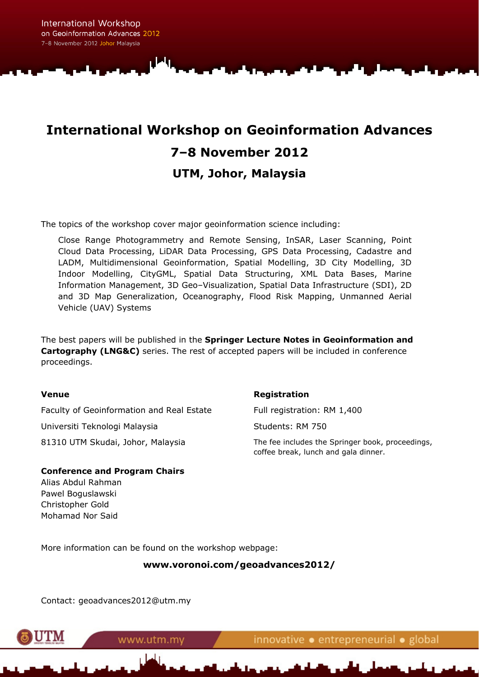# **International Workshop on Geoinformation Advances 7–8 November 2012 UTM, Johor, Malaysia**

The topics of the workshop cover major geoinformation science including:

Close Range Photogrammetry and Remote Sensing, InSAR, Laser Scanning, Point Cloud Data Processing, LiDAR Data Processing, GPS Data Processing, Cadastre and LADM, Multidimensional Geoinformation, Spatial Modelling, 3D City Modelling, 3D Indoor Modelling, CityGML, Spatial Data Structuring, XML Data Bases, Marine Information Management, 3D Geo–Visualization, Spatial Data Infrastructure (SDI), 2D and 3D Map Generalization, Oceanography, Flood Risk Mapping, Unmanned Aerial Vehicle (UAV) Systems

The best papers will be published in the **Springer Lecture Notes in Geoinformation and Cartography (LNG&C)** series. The rest of accepted papers will be included in conference proceedings.

#### **Venue**

Faculty of Geoinformation and Real Estate Universiti Teknologi Malaysia 81310 UTM Skudai, Johor, Malaysia

#### **Registration**

Full registration: RM 1,400 Students: RM 750

The fee includes the Springer book, proceedings, coffee break, lunch and gala dinner.

#### **Conference and Program Chairs**

Alias Abdul Rahman Pawel Boguslawski Christopher Gold Mohamad Nor Said

More information can be found on the workshop webpage:

**www.voronoi.com/geoadvances2012/** 

Contact: geoadvances2012@utm.my



www.utm.my

innovative · entrepreneurial · global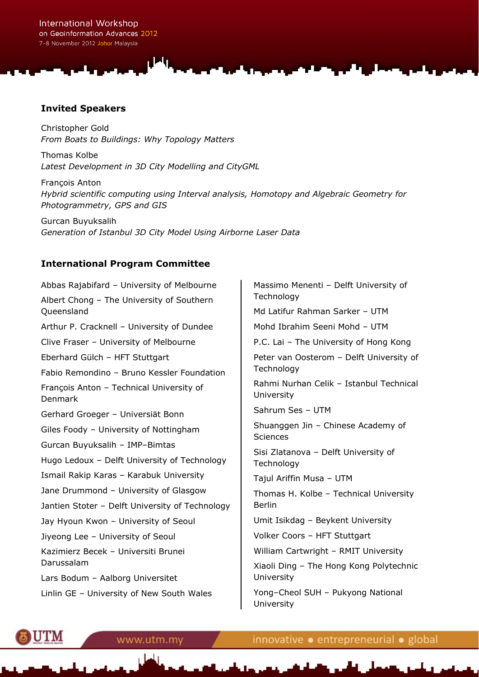#### **Invited Speakers**

Christopher Gold *From Boats to Buildings: Why Topology Matters* 

Thomas Kolbe *Latest Development in 3D City Modelling and CityGML* 

François Anton *Hybrid scientific computing using Interval analysis, Homotopy and Algebraic Geometry for Photogrammetry, GPS and GIS* 

Gurcan Buyuksalih *Generation of Istanbul 3D City Model Using Airborne Laser Data* 

### **International Program Committee**

Abbas Rajabifard – University of Melbourne Albert Chong – The University of Southern Queensland Arthur P. Cracknell – University of Dundee Clive Fraser – University of Melbourne Eberhard Gülch – HFT Stuttgart Fabio Remondino – Bruno Kessler Foundation François Anton – Technical University of Denmark Gerhard Groeger – Universiät Bonn Giles Foody – University of Nottingham Gurcan Buyuksalih – IMP–Bimtas Hugo Ledoux – Delft University of Technology Ismail Rakip Karas – Karabuk University Jane Drummond – University of Glasgow Jantien Stoter – Delft University of Technology Jay Hyoun Kwon – University of Seoul Jiyeong Lee – University of Seoul Kazimierz Becek – Universiti Brunei Darussalam Lars Bodum – Aalborg Universitet Linlin GE – University of New South Wales

Massimo Menenti – Delft University of **Technology** Md Latifur Rahman Sarker – UTM Mohd Ibrahim Seeni Mohd – UTM P.C. Lai – The University of Hong Kong Peter van Oosterom – Delft University of **Technology** Rahmi Nurhan Celik – Istanbul Technical University Sahrum Ses – UTM Shuanggen Jin – Chinese Academy of **Sciences** Sisi Zlatanova – Delft University of **Technology** Tajul Ariffin Musa – UTM Thomas H. Kolbe – Technical University Berlin Umit Isikdag – Beykent University Volker Coors – HFT Stuttgart William Cartwright – RMIT University Xiaoli Ding – The Hong Kong Polytechnic University Yong–Cheol SUH – Pukyong National University



innovative • entrepreneurial • global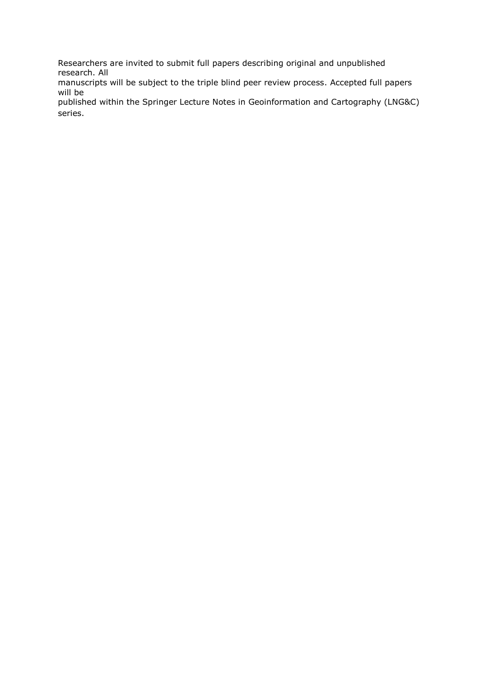Researchers are invited to submit full papers describing original and unpublished research. All

manuscripts will be subject to the triple blind peer review process. Accepted full papers will be

published within the Springer Lecture Notes in Geoinformation and Cartography (LNG&C) series.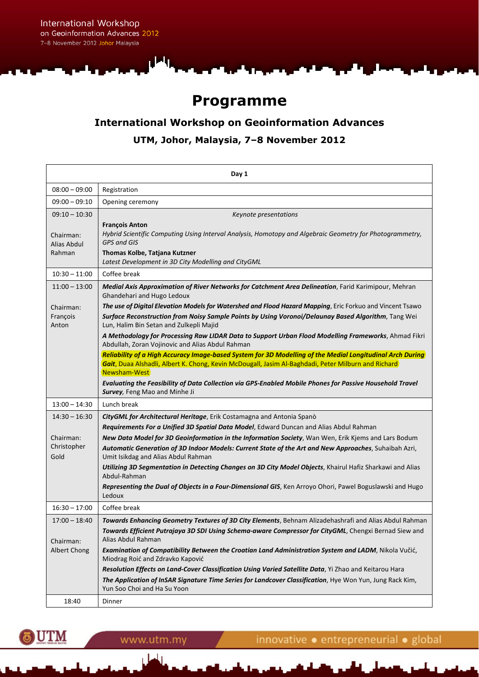International Workshop on Geoinformation Advances 2012 7-8 November 2012 Johor Malaysia

الحل

## **Programme**

## **International Workshop on Geoinformation Advances UTM, Johor, Malaysia, 7–8 November 2012**

| Day 1                              |                                                                                                                                                                                                                                                 |  |
|------------------------------------|-------------------------------------------------------------------------------------------------------------------------------------------------------------------------------------------------------------------------------------------------|--|
| $08:00 - 09:00$                    | Registration                                                                                                                                                                                                                                    |  |
| $09:00 - 09:10$                    | Opening ceremony                                                                                                                                                                                                                                |  |
| $09:10 - 10:30$                    | Keynote presentations                                                                                                                                                                                                                           |  |
| Chairman:<br>Alias Abdul<br>Rahman | <b>François Anton</b><br>Hybrid Scientific Computing Using Interval Analysis, Homotopy and Algebraic Geometry for Photogrammetry,<br><b>GPS and GIS</b><br>Thomas Kolbe, Tatjana Kutzner<br>Latest Development in 3D City Modelling and CityGML |  |
| $10:30 - 11:00$                    | Coffee break                                                                                                                                                                                                                                    |  |
| $11:00 - 13:00$                    | Medial Axis Approximation of River Networks for Catchment Area Delineation, Farid Karimipour, Mehran<br>Ghandehari and Hugo Ledoux                                                                                                              |  |
| Chairman:                          | The use of Digital Elevation Models for Watershed and Flood Hazard Mapping, Eric Forkuo and Vincent Tsawo                                                                                                                                       |  |
| François<br>Anton                  | Surface Reconstruction from Noisy Sample Points by Using Voronoi/Delaunay Based Algorithm, Tang Wei<br>Lun, Halim Bin Setan and Zulkepli Majid                                                                                                  |  |
|                                    | A Methodology for Processing Raw LIDAR Data to Support Urban Flood Modelling Frameworks, Ahmad Fikri<br>Abdullah, Zoran Vojinovic and Alias Abdul Rahman                                                                                        |  |
|                                    | Reliability of a High Accuracy Image-based System for 3D Modelling of the Medial Longitudinal Arch During                                                                                                                                       |  |
|                                    | Gait, Duaa Alshadli, Albert K. Chong, Kevin McDougall, Jasim Al-Baghdadi, Peter Milburn and Richard<br>Newsham-West                                                                                                                             |  |
|                                    | Evaluating the Feasibility of Data Collection via GPS-Enabled Mobile Phones for Passive Household Travel<br>Survey, Feng Mao and Minhe Ji                                                                                                       |  |
| $13:00 - 14:30$                    | Lunch break                                                                                                                                                                                                                                     |  |
| $14:30 - 16:30$                    | CityGML for Architectural Heritage, Erik Costamagna and Antonia Spanò                                                                                                                                                                           |  |
|                                    | Requirements For a Unified 3D Spatial Data Model, Edward Duncan and Alias Abdul Rahman                                                                                                                                                          |  |
| Chairman:<br>Christopher           | New Data Model for 3D Geoinformation in the Information Society, Wan Wen, Erik Kjems and Lars Bodum                                                                                                                                             |  |
| Gold                               | Automatic Generation of 3D Indoor Models: Current State of the Art and New Approaches, Suhaibah Azri,<br>Umit Isikdag and Alias Abdul Rahman                                                                                                    |  |
|                                    | Utilizing 3D Segmentation in Detecting Changes on 3D City Model Objects, Khairul Hafiz Sharkawi and Alias<br>Abdul-Rahman                                                                                                                       |  |
|                                    | Representing the Dual of Objects in a Four-Dimensional GIS, Ken Arroyo Ohori, Pawel Boguslawski and Hugo<br>Ledoux                                                                                                                              |  |
| $16:30 - 17:00$                    | Coffee break                                                                                                                                                                                                                                    |  |
| $17:00 - 18:40$                    | Towards Enhancing Geometry Textures of 3D City Elements, Behnam Alizadehashrafi and Alias Abdul Rahman                                                                                                                                          |  |
|                                    | Towards Efficient Putrajaya 3D SDI Using Schema-aware Compressor for CityGML, Chengxi Bernad Siew and                                                                                                                                           |  |
| Chairman:<br>Albert Chong          | Alias Abdul Rahman<br>Examination of Compatibility Between the Croatian Land Administration System and LADM, Nikola Vučić,                                                                                                                      |  |
|                                    | Miodrag Roić and Zdravko Kapović                                                                                                                                                                                                                |  |
|                                    | Resolution Effects on Land-Cover Classification Using Varied Satellite Data, Yi Zhao and Keitarou Hara                                                                                                                                          |  |
|                                    | The Application of InSAR Signature Time Series for Landcover Classification, Hye Won Yun, Jung Rack Kim,<br>Yun Soo Choi and Ha Su Yoon                                                                                                         |  |
| 18:40                              | Dinner                                                                                                                                                                                                                                          |  |

**UTM** 75

www.utm.my

الما

innovative · entrepreneurial · global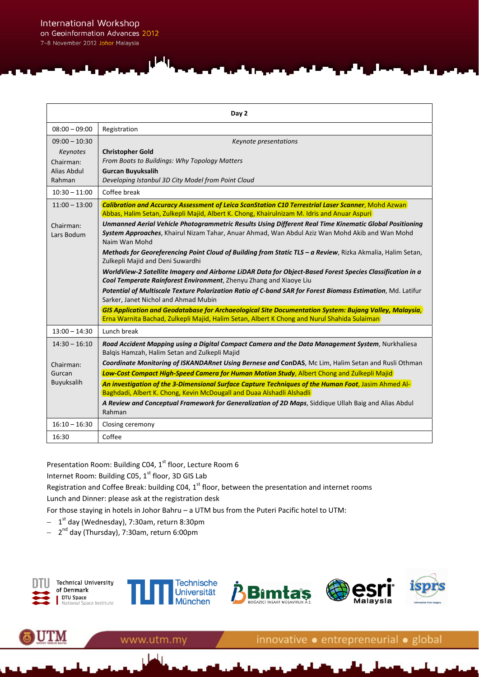$\overline{41}$ 

| Day 2                                                             |                                                                                                                                                                                                                                                                                                                                                                                                                                                                                                                                                                                                                                                                                                                                                                                                                                                                                                                                                                                                                                                                                                                                     |  |
|-------------------------------------------------------------------|-------------------------------------------------------------------------------------------------------------------------------------------------------------------------------------------------------------------------------------------------------------------------------------------------------------------------------------------------------------------------------------------------------------------------------------------------------------------------------------------------------------------------------------------------------------------------------------------------------------------------------------------------------------------------------------------------------------------------------------------------------------------------------------------------------------------------------------------------------------------------------------------------------------------------------------------------------------------------------------------------------------------------------------------------------------------------------------------------------------------------------------|--|
| $08:00 - 09:00$                                                   | Registration                                                                                                                                                                                                                                                                                                                                                                                                                                                                                                                                                                                                                                                                                                                                                                                                                                                                                                                                                                                                                                                                                                                        |  |
| $09:00 - 10:30$<br>Keynotes<br>Chairman:<br>Alias Abdul<br>Rahman | Keynote presentations<br><b>Christopher Gold</b><br>From Boats to Buildings: Why Topology Matters<br><b>Gurcan Buyuksalih</b><br>Developing Istanbul 3D City Model from Point Cloud                                                                                                                                                                                                                                                                                                                                                                                                                                                                                                                                                                                                                                                                                                                                                                                                                                                                                                                                                 |  |
| $10:30 - 11:00$                                                   | Coffee break                                                                                                                                                                                                                                                                                                                                                                                                                                                                                                                                                                                                                                                                                                                                                                                                                                                                                                                                                                                                                                                                                                                        |  |
| $11:00 - 13:00$<br>Chairman:<br>Lars Bodum                        | Calibration and Accuracy Assessment of Leica ScanStation C10 Terrestrial Laser Scanner, Mohd Azwan<br>Abbas, Halim Setan, Zulkepli Majid, Albert K. Chong, Khairulnizam M. Idris and Anuar Aspuri<br>Unmanned Aerial Vehicle Photogrammetric Results Using Different Real Time Kinematic Global Positioning<br>System Approaches, Khairul Nizam Tahar, Anuar Ahmad, Wan Abdul Aziz Wan Mohd Akib and Wan Mohd<br>Naim Wan Mohd<br>Methods for Georeferencing Point Cloud of Building from Static TLS - a Review, Rizka Akmalia, Halim Setan,<br>Zulkepli Majid and Deni Suwardhi<br>WorldView-2 Satellite Imagery and Airborne LiDAR Data for Object-Based Forest Species Classification in a<br>Cool Temperate Rainforest Environment, Zhenyu Zhang and Xiaoye Liu<br>Potential of Multiscale Texture Polarization Ratio of C-band SAR for Forest Biomass Estimation, Md. Latifur<br>Sarker, Janet Nichol and Ahmad Mubin<br>GIS Application and Geodatabase for Archaeological Site Documentation System: Bujang Valley, Malaysia,<br>Erna Warnita Bachad, Zulkepli Majid, Halim Setan, Albert K Chong and Nurul Shahida Sulaiman |  |
| $13:00 - 14:30$                                                   | Lunch break                                                                                                                                                                                                                                                                                                                                                                                                                                                                                                                                                                                                                                                                                                                                                                                                                                                                                                                                                                                                                                                                                                                         |  |
| $14:30 - 16:10$<br>Chairman:<br>Gurcan<br>Buyuksalih              | Road Accident Mapping using a Digital Compact Camera and the Data Management System, Nurkhaliesa<br>Balqis Hamzah, Halim Setan and Zulkepli Majid<br>Coordinate Monitoring of ISKANDARnet Using Bernese and ConDAS, Mc Lim, Halim Setan and Rusli Othman<br>Low-Cost Compact High-Speed Camera for Human Motion Study, Albert Chong and Zulkepli Majid<br>An investigation of the 3-Dimensional Surface Capture Techniques of the Human Foot, Jasim Ahmed Al-<br>Baghdadi, Albert K. Chong, Kevin McDougall and Duaa Alshadli Alshadli<br>A Review and Conceptual Framework for Generalization of 2D Maps, Siddique Ullah Baig and Alias Abdul<br>Rahman                                                                                                                                                                                                                                                                                                                                                                                                                                                                            |  |
| $16:10 - 16:30$                                                   | Closing ceremony                                                                                                                                                                                                                                                                                                                                                                                                                                                                                                                                                                                                                                                                                                                                                                                                                                                                                                                                                                                                                                                                                                                    |  |
| 16:30                                                             | Coffee                                                                                                                                                                                                                                                                                                                                                                                                                                                                                                                                                                                                                                                                                                                                                                                                                                                                                                                                                                                                                                                                                                                              |  |

Presentation Room: Building C04, 1<sup>st</sup> floor, Lecture Room 6

www.utm.my

Internet Room: Building C05, 1<sup>st</sup> floor, 3D GIS Lab

Registration and Coffee Break: building C04,  $1^{st}$  floor, between the presentation and internet rooms

Lunch and Dinner: please ask at the registration desk

For those staying in hotels in Johor Bahru – a UTM bus from the Puteri Pacific hotel to UTM:

- − 1st day (Wednesday), 7:30am, return 8:30pm
- − 2nd day (Thursday), 7:30am, return 6:00pm

UTM



innovative · entrepreneurial · global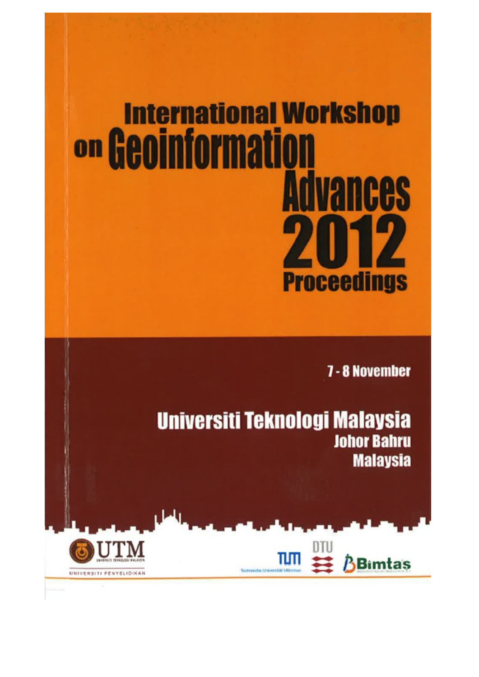# **International Workshop** on Geoinformation **Advances Proceedings**

7 - 8 November

Universiti Teknologi Malaysia **Johor Bahru Malaysia** 



UNIVERSITI PENYELIDIKAN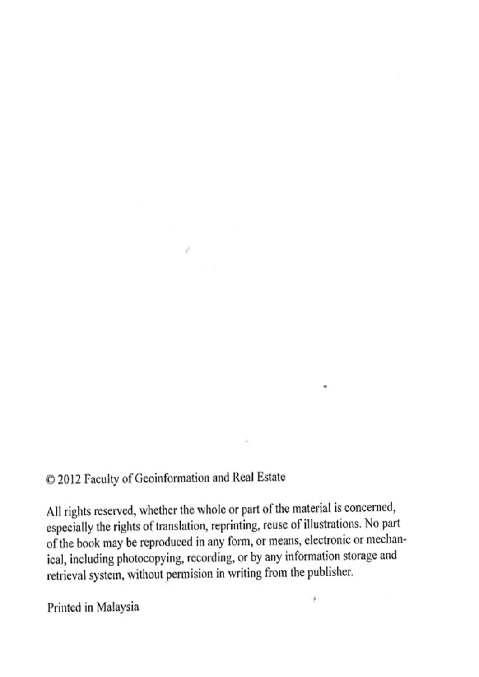## © 2012 Faculty of Geoinformation and Real Estate

 $\sim$ 

All rights reserved, whether the whole or part of the material is concerned, especially the rights of translation, reprinting, reuse of illustrations. No part of the book may be reproduced in any form, or means, electronic or mechanical, including photocopying, recording, or by any information storage and retrieval system, without permision in writing from the publisher.

Printed in Malaysia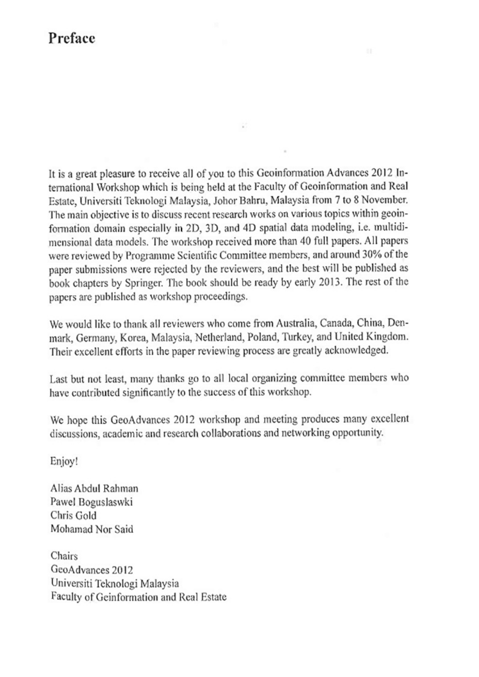## Preface

It is a great pleasure to receive all of you to this Geoinformation Advances 2012 International Workshop which is being held at the Faculty of Geoinformation and Real Estate, Universiti Teknologi Malaysia, Johor Bahru, Malaysia from 7 to 8 November. The main objective is to discuss recent research works on various topics within geoinformation domain especially in 2D, 3D, and 4D spatial data modeling, i.e. multidimensional data models. The workshop received more than 40 full papers. All papers were reviewed by Programme Scientific Committee members, and around 30% of the paper submissions were rejected by the reviewers, and the best will be published as book chapters by Springer. The book should be ready by early 2013. The rest of the papers are published as workshop proceedings.

We would like to thank all reviewers who come from Australia, Canada, China, Denmark, Germany, Korea, Malaysia, Netherland, Poland, Turkey, and United Kingdom. Their excellent efforts in the paper reviewing process are greatly acknowledged.

Last but not least, many thanks go to all local organizing committee members who have contributed significantly to the success of this workshop.

We hope this GeoAdvances 2012 workshop and meeting produces many excellent discussions, academic and research collaborations and networking opportunity.

Enjoy!

Alias Abdul Rahman Pawel Boguslaswki Chris Gold Mohamad Nor Said

Chairs GeoAdvances 2012 Universiti Teknologi Malaysia Faculty of Geinformation and Real Estate